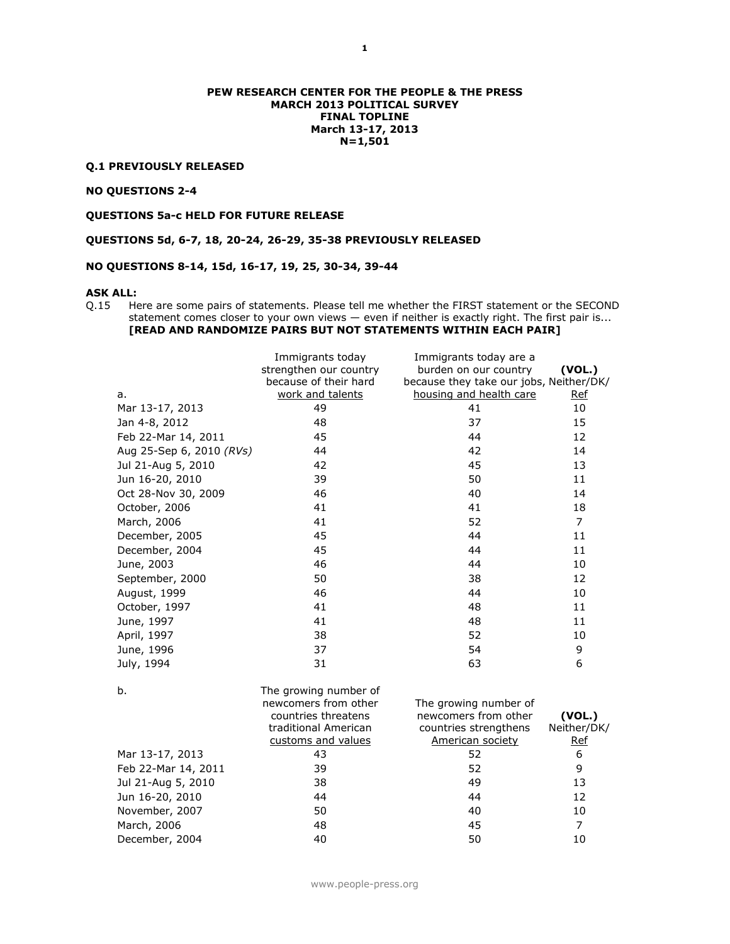### **PEW RESEARCH CENTER FOR THE PEOPLE & THE PRESS MARCH 2013 POLITICAL SURVEY FINAL TOPLINE March 13-17, 2013 N=1,501**

### **Q.1 PREVIOUSLY RELEASED**

# **NO QUESTIONS 2-4**

**QUESTIONS 5a-c HELD FOR FUTURE RELEASE**

**QUESTIONS 5d, 6-7, 18, 20-24, 26-29, 35-38 PREVIOUSLY RELEASED**

### **NO QUESTIONS 8-14, 15d, 16-17, 19, 25, 30-34, 39-44**

#### **ASK ALL:**

Q.15 Here are some pairs of statements. Please tell me whether the FIRST statement or the SECOND statement comes closer to your own views — even if neither is exactly right. The first pair is... **[READ AND RANDOMIZE PAIRS BUT NOT STATEMENTS WITHIN EACH PAIR]**

|                          | Immigrants today       | Immigrants today are a                  |                |
|--------------------------|------------------------|-----------------------------------------|----------------|
|                          | strengthen our country | burden on our country                   | (VOL.)         |
|                          | because of their hard  | because they take our jobs, Neither/DK/ |                |
| a.                       | work and talents       | housing and health care                 | <u>Ref</u>     |
| Mar 13-17, 2013          | 49                     | 41                                      | 10             |
| Jan 4-8, 2012            | 48                     | 37                                      | 15             |
| Feb 22-Mar 14, 2011      | 45                     | 44                                      | 12             |
| Aug 25-Sep 6, 2010 (RVs) | 44                     | 42                                      | 14             |
| Jul 21-Aug 5, 2010       | 42                     | 45                                      | 13             |
| Jun 16-20, 2010          | 39                     | 50                                      | 11             |
| Oct 28-Nov 30, 2009      | 46                     | 40                                      | 14             |
| October, 2006            | 41                     | 41                                      | 18             |
| March, 2006              | 41                     | 52                                      | $\overline{7}$ |
| December, 2005           | 45                     | 44                                      | 11             |
| December, 2004           | 45                     | 44                                      | 11             |
| June, 2003               | 46                     | 44                                      | 10             |
| September, 2000          | 50                     | 38                                      | 12             |
| August, 1999             | 46                     | 44                                      | 10             |
| October, 1997            | 41                     | 48                                      | 11             |
| June, 1997               | 41                     | 48                                      | 11             |
| April, 1997              | 38                     | 52                                      | 10             |
| June, 1996               | 37                     | 54                                      | 9              |
| July, 1994               | 31                     | 63                                      | 6              |
|                          |                        |                                         |                |
| b.                       | The growing number of  |                                         |                |
|                          | newcomers from other   | The growing number of                   |                |
|                          | countries threatens    | newcomers from other                    | (VOL.)         |
|                          | traditional American   | countries strengthens                   | Neither/DK/    |
|                          | customs and values     | <b>American society</b>                 | <u>Ref</u>     |
| Mar 13-17, 2013          | 43                     | 52                                      | 6              |
| Feb 22-Mar 14, 2011      | 39                     | 52                                      | 9              |
| Jul 21-Aug 5, 2010       | 38                     | 49                                      | 13             |
| Jun 16-20, 2010          | 44                     | 44                                      | 12             |
| November, 2007           | 50                     | 40                                      | 10             |
| March, 2006              | 48                     | 45                                      | $\overline{7}$ |
| December, 2004           | 40                     | 50                                      | 10             |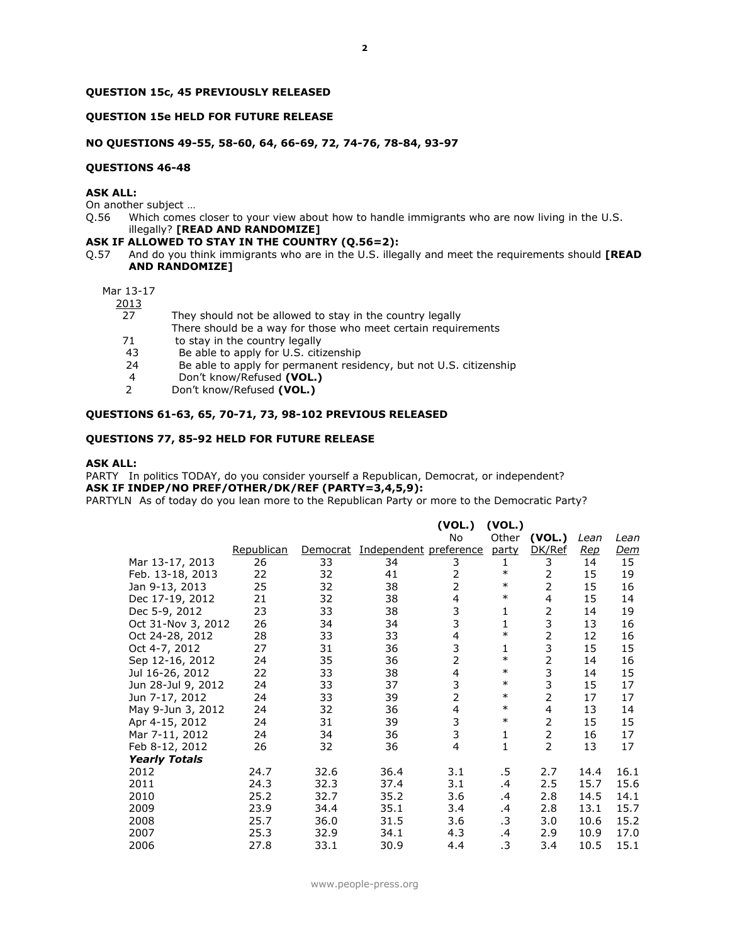### **QUESTION 15c, 45 PREVIOUSLY RELEASED**

## **QUESTION 15e HELD FOR FUTURE RELEASE**

## **NO QUESTIONS 49-55, 58-60, 64, 66-69, 72, 74-76, 78-84, 93-97**

#### **QUESTIONS 46-48**

## **ASK ALL:**

On another subject …

Q.56 Which comes closer to your view about how to handle immigrants who are now living in the U.S. illegally? **[READ AND RANDOMIZE]**

# **ASK IF ALLOWED TO STAY IN THE COUNTRY (Q.56=2):**

Q.57 And do you think immigrants who are in the U.S. illegally and meet the requirements should **[READ AND RANDOMIZE]**

# Mar 13-17

2013

- 27 They should not be allowed to stay in the country legally
	- There should be a way for those who meet certain requirements
- 71 to stay in the country legally<br>43 Be able to apply for U.S. citi
- Be able to apply for U.S. citizenship
- 24 Be able to apply for permanent residency, but not U.S. citizenship
- 4 Don't know/Refused **(VOL.)**
- 2 Don't know/Refused **(VOL.)**

## **QUESTIONS 61-63, 65, 70-71, 73, 98-102 PREVIOUS RELEASED**

### **QUESTIONS 77, 85-92 HELD FOR FUTURE RELEASE**

#### **ASK ALL:**

PARTY In politics TODAY, do you consider yourself a Republican, Democrat, or independent? **ASK IF INDEP/NO PREF/OTHER/DK/REF (PARTY=3,4,5,9):** PARTYLN As of today do you lean more to the Republican Party or more to the Democratic Party?

|                      |            |          |                        | (VOL.)                  | (VOL.) |                |            |            |
|----------------------|------------|----------|------------------------|-------------------------|--------|----------------|------------|------------|
|                      |            |          |                        | No                      | Other  | (VOL.)         | Lean       | Lean       |
|                      | Republican | Democrat | Independent preference |                         | party  | DK/Ref         | <u>Rep</u> | <u>Dem</u> |
| Mar 13-17, 2013      | 26         | 33       | 34                     | 3                       | 1      | 3              | 14         | 15         |
| Feb. 13-18, 2013     | 22         | 32       | 41                     | $\overline{2}$          | $\ast$ | 2              | 15         | 19         |
| Jan 9-13, 2013       | 25         | 32       | 38                     | $\overline{2}$          | $\ast$ | 2              | 15         | 16         |
| Dec 17-19, 2012      | 21         | 32       | 38                     | 4                       | $\ast$ | 4              | 15         | 14         |
| Dec 5-9, 2012        | 23         | 33       | 38                     | 3                       | 1      | $\overline{2}$ | 14         | 19         |
| Oct 31-Nov 3, 2012   | 26         | 34       | 34                     | 3                       | 1      | 3              | 13         | 16         |
| Oct 24-28, 2012      | 28         | 33       | 33                     | $\overline{\mathbf{4}}$ | $\ast$ | 2              | 12         | 16         |
| Oct 4-7, 2012        | 27         | 31       | 36                     | 3                       | 1      | 3              | 15         | 15         |
| Sep 12-16, 2012      | 24         | 35       | 36                     | $\overline{2}$          | $\ast$ | $\overline{2}$ | 14         | 16         |
| Jul 16-26, 2012      | 22         | 33       | 38                     | $\overline{\mathbf{4}}$ | $\ast$ | 3              | 14         | 15         |
| Jun 28-Jul 9, 2012   | 24         | 33       | 37                     | 3                       | $\ast$ | 3              | 15         | 17         |
| Jun 7-17, 2012       | 24         | 33       | 39                     | $\overline{2}$          | $\ast$ | 2              | 17         | 17         |
| May 9-Jun 3, 2012    | 24         | 32       | 36                     | $\overline{\mathbf{4}}$ | $\ast$ | 4              | 13         | 14         |
| Apr 4-15, 2012       | 24         | 31       | 39                     | 3                       | $\ast$ | $\overline{2}$ | 15         | 15         |
| Mar 7-11, 2012       | 24         | 34       | 36                     | 3                       | 1      | $\overline{2}$ | 16         | 17         |
| Feb 8-12, 2012       | 26         | 32       | 36                     | 4                       | 1      | $\overline{2}$ | 13         | 17         |
| <b>Yearly Totals</b> |            |          |                        |                         |        |                |            |            |
| 2012                 | 24.7       | 32.6     | 36.4                   | 3.1                     | .5     | 2.7            | 14.4       | 16.1       |
| 2011                 | 24.3       | 32.3     | 37.4                   | 3.1                     | .4     | 2.5            | 15.7       | 15.6       |
| 2010                 | 25.2       | 32.7     | 35.2                   | 3.6                     | .4     | 2.8            | 14.5       | 14.1       |
| 2009                 | 23.9       | 34.4     | 35.1                   | 3.4                     | .4     | 2.8            | 13.1       | 15.7       |
| 2008                 | 25.7       | 36.0     | 31.5                   | 3.6                     | .3     | 3.0            | 10.6       | 15.2       |
| 2007                 | 25.3       | 32.9     | 34.1                   | 4.3                     | .4     | 2.9            | 10.9       | 17.0       |
| 2006                 | 27.8       | 33.1     | 30.9                   | 4.4                     | .3     | 3.4            | 10.5       | 15.1       |